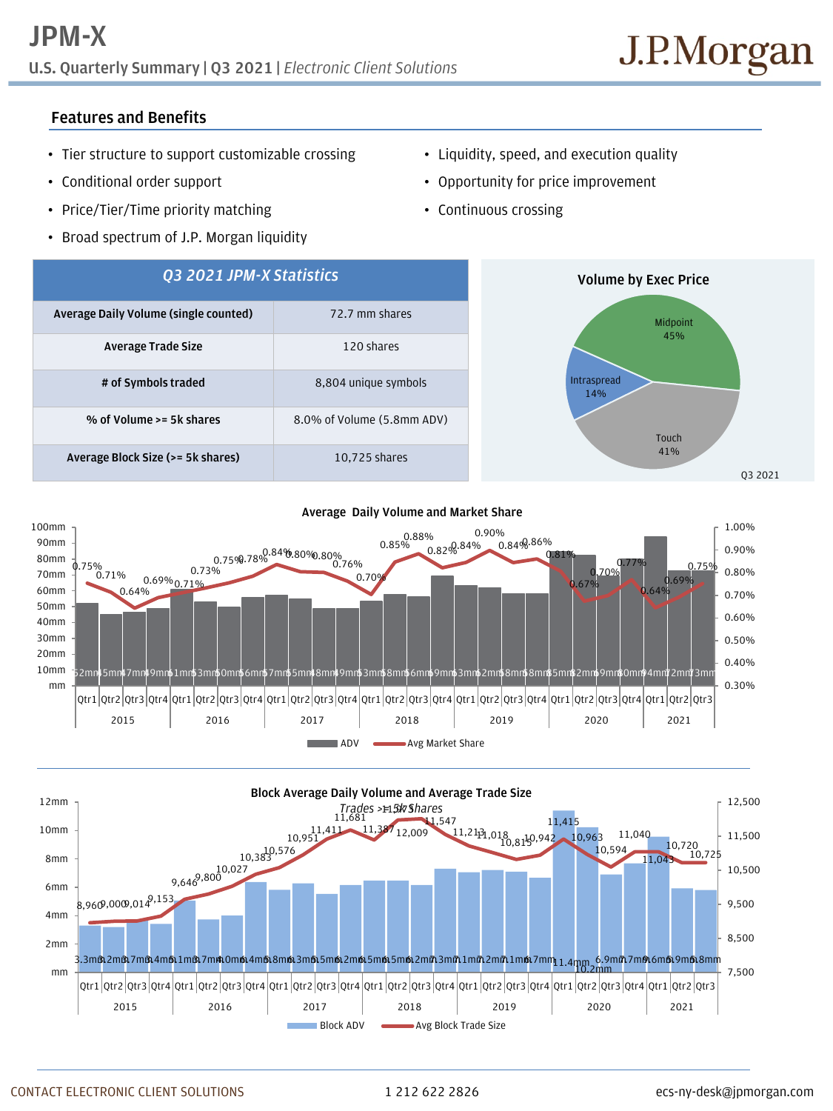# **U.S. Quarterly Summary | Q3 2021 |** *Electronic Client Solutions*

## **Features and Benefits**

- Tier structure to support customizable crossing
- Conditional order support
- Price/Tier/Time priority matching
- Broad spectrum of J.P. Morgan liquidity
- Liquidity, speed, and execution quality
- Opportunity for price improvement
- Continuous crossing